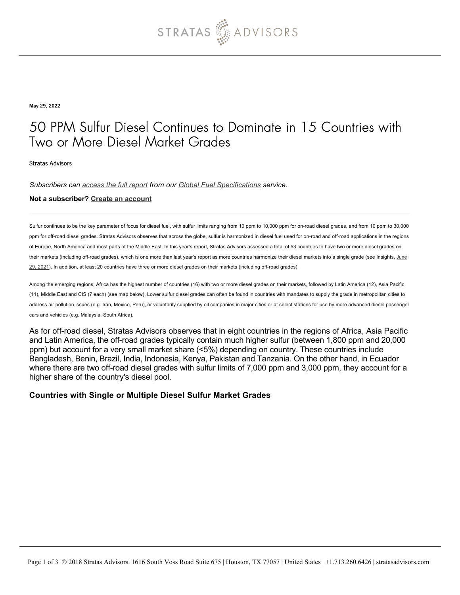

May 29, 2022

## 50 PPM Sulfur Diesel Continues to Dominate in 15 Countries with Two or More Diesel Market Grades

Stratas Advisors

*Subscribers can [access the full report](https://stratasadvisors.com/Member/Analysis/Fuel-and-Transportation/2022/05302022-diesel-market-share-by-sulfur) from our [Global Fuel Specifications](https://stratasadvisors.com/Services/Global-Fuel-Specifications) service.*

#### **Not a subscriber? [Create an account](https://stratasadvisors.com/Register)**

Sulfur continues to be the key parameter of focus for diesel fuel, with sulfur limits ranging from 10 ppm to 10,000 ppm for on-road diesel grades, and from 10 ppm to 30,000 ppm for off-road diesel grades. Stratas Advisors observes that across the globe, sulfur is harmonized in diesel fuel used for on-road and off-road applications in the regions of Europe, North America and most parts of the Middle East. In this year's report, Stratas Advisors assessed a total of 53 countries to have two or more diesel grades on [their markets \(including off-road grades\), which is one more than last year's report as more countries harmonize their diesel markets into a single grade \(see Insights, June](https://stratasadvisors.com/Insights/2021/06292021-diesel-market-share-by-sulfur) 29, 2021). In addition, at least 20 countries have three or more diesel grades on their markets (including off-road grades).

Among the emerging regions, Africa has the highest number of countries (16) with two or more diesel grades on their markets, followed by Latin America (12), Asia Pacific (11), Middle East and CIS (7 each) (see map below). Lower sulfur diesel grades can often be found in countries with mandates to supply the grade in metropolitan cities to address air pollution issues (e.g. Iran, Mexico, Peru), or voluntarily supplied by oil companies in major cities or at select stations for use by more advanced diesel passenger cars and vehicles (e.g. Malaysia, South Africa).

As for off-road diesel, Stratas Advisors observes that in eight countries in the regions of Africa, Asia Pacific and Latin America, the off-road grades typically contain much higher sulfur (between 1,800 ppm and 20,000 ppm) but account for a very small market share (<5%) depending on country. These countries include Bangladesh, Benin, Brazil, India, Indonesia, Kenya, Pakistan and Tanzania. On the other hand, in Ecuador where there are two off-road diesel grades with sulfur limits of 7,000 ppm and 3,000 ppm, they account for a higher share of the country's diesel pool.

#### **Countries with Single or Multiple Diesel Sulfur Market Grades**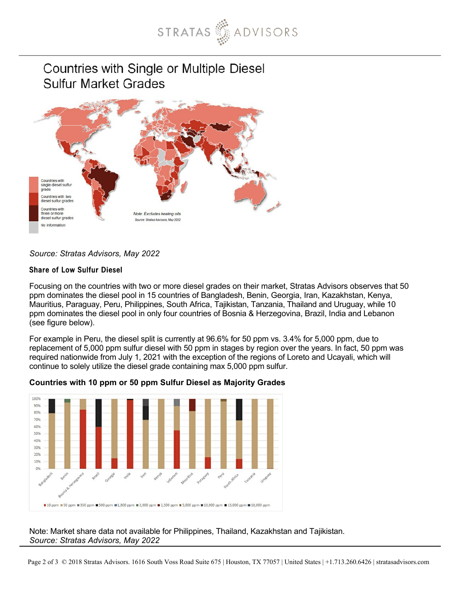

# Countries with Single or Multiple Diesel **Sulfur Market Grades**



## *Source: Stratas Advisors, May 2022*

### Share of Low Sulfur Diesel

Focusing on the countries with two or more diesel grades on their market, Stratas Advisors observes that 50 ppm dominates the diesel pool in 15 countries of Bangladesh, Benin, Georgia, Iran, Kazakhstan, Kenya, Mauritius, Paraguay, Peru, Philippines, South Africa, Tajikistan, Tanzania, Thailand and Uruguay, while 10 ppm dominates the diesel pool in only four countries of Bosnia & Herzegovina, Brazil, India and Lebanon (see figure below).

For example in Peru, the diesel split is currently at 96.6% for 50 ppm vs. 3.4% for 5,000 ppm, due to replacement of 5,000 ppm sulfur diesel with 50 ppm in stages by region over the years. In fact, 50 ppm was required nationwide from July 1, 2021 with the exception of the regions of Loreto and Ucayali, which will continue to solely utilize the diesel grade containing max 5,000 ppm sulfur.



### **Countries with 10 ppm or 50 ppm Sulfur Diesel as Majority Grades**

Note: Market share data not available for Philippines, Thailand, Kazakhstan and Tajikistan. *Source: Stratas Advisors, May 2022*